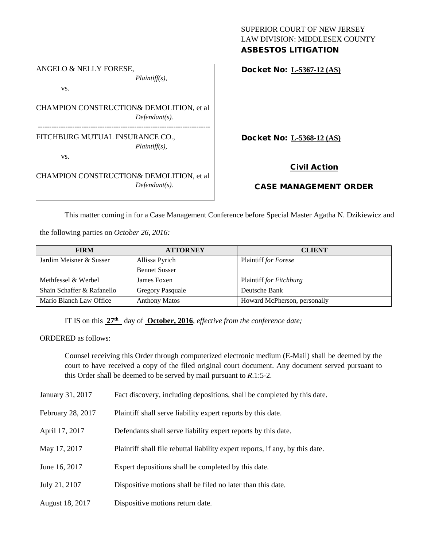## SUPERIOR COURT OF NEW JERSEY LAW DIVISION: MIDDLESEX COUNTY ASBESTOS LITIGATION

ANGELO & NELLY FORESE, *Plaintiff(s),* vs. CHAMPION CONSTRUCTION& DEMOLITION, et al *Defendant(s).* --------------------------------------------------------------------------- FITCHBURG MUTUAL INSURANCE CO., *Plaintiff(s),* vs. CHAMPION CONSTRUCTION& DEMOLITION, et al *Defendant(s).*

Docket No: **L-5367-12 (AS)**

Docket No: **L-5368-12 (AS)**

## Civil Action

## CASE MANAGEMENT ORDER

This matter coming in for a Case Management Conference before Special Master Agatha N. Dzikiewicz and

the following parties on *October 26, 2016:*

| <b>FIRM</b>                | <b>ATTORNEY</b>         | <b>CLIENT</b>                |
|----------------------------|-------------------------|------------------------------|
| Jardim Meisner & Susser    | Allissa Pyrich          | Plaintiff for Forese         |
|                            | <b>Bennet Susser</b>    |                              |
| Methfessel & Werbel        | James Foxen             | Plaintiff for Fitchburg      |
| Shain Schaffer & Rafanello | <b>Gregory Pasquale</b> | Deutsche Bank                |
| Mario Blanch Law Office    | <b>Anthony Matos</b>    | Howard McPherson, personally |

IT IS on this  $27<sup>th</sup>$  day of **October, 2016**, *effective from the conference date;* 

ORDERED as follows:

Counsel receiving this Order through computerized electronic medium (E-Mail) shall be deemed by the court to have received a copy of the filed original court document. Any document served pursuant to this Order shall be deemed to be served by mail pursuant to *R*.1:5-2.

| January 31, 2017  | Fact discovery, including depositions, shall be completed by this date.       |  |
|-------------------|-------------------------------------------------------------------------------|--|
| February 28, 2017 | Plaintiff shall serve liability expert reports by this date.                  |  |
| April 17, 2017    | Defendants shall serve liability expert reports by this date.                 |  |
| May 17, 2017      | Plaintiff shall file rebuttal liability expert reports, if any, by this date. |  |
| June 16, 2017     | Expert depositions shall be completed by this date.                           |  |
| July 21, 2107     | Dispositive motions shall be filed no later than this date.                   |  |
| August 18, 2017   | Dispositive motions return date.                                              |  |